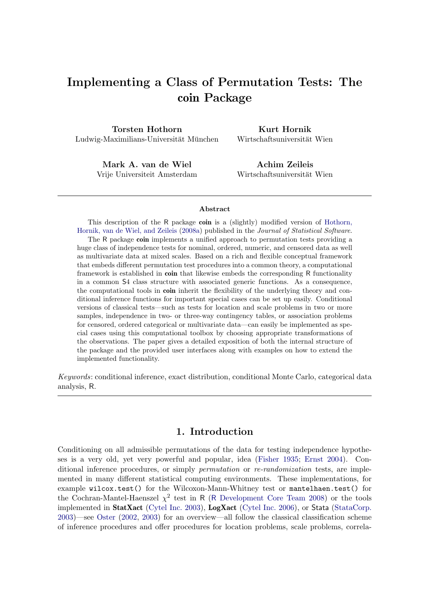# Implementing a Class of Permutation Tests: The coin Package

Torsten Hothorn Ludwig-Maximilians-Universität München

Kurt Hornik Wirtschaftsuniversität Wien

Mark A. van de Wiel Vrije Universiteit Amsterdam

Achim Zeileis Wirtschaftsuniversität Wien

#### Abstract

This description of the R package coin is a (slightly) modified version of [Hothorn,](#page-19-0) [Hornik, van de Wiel, and Zeileis](#page-19-0) [\(2008a\)](#page-19-0) published in the *Journal of Statistical Software*. The R package coin implements a unified approach to permutation tests providing a huge class of independence tests for nominal, ordered, numeric, and censored data as well as multivariate data at mixed scales. Based on a rich and flexible conceptual framework that embeds different permutation test procedures into a common theory, a computational framework is established in **coin** that likewise embeds the corresponding R functionality in a common S4 class structure with associated generic functions. As a consequence, the computational tools in **coin** inherit the flexibility of the underlying theory and conditional inference functions for important special cases can be set up easily. Conditional versions of classical tests—such as tests for location and scale problems in two or more samples, independence in two- or three-way contingency tables, or association problems for censored, ordered categorical or multivariate data—can easily be implemented as special cases using this computational toolbox by choosing appropriate transformations of the observations. The paper gives a detailed exposition of both the internal structure of the package and the provided user interfaces along with examples on how to extend the implemented functionality.

*Keywords*: conditional inference, exact distribution, conditional Monte Carlo, categorical data analysis, R.

## 1. Introduction

Conditioning on all admissible permutations of the data for testing independence hypotheses is a very old, yet very powerful and popular, idea [\(Fisher 1935;](#page-19-1) [Ernst 2004\)](#page-19-2). Conditional inference procedures, or simply *permutation* or *re-randomization* tests, are implemented in many different statistical computing environments. These implementations, for example wilcox.test() for the Wilcoxon-Mann-Whitney test or mantelhaen.test() for the Cochran-Mantel-Haenszel  $\chi^2$  test in R (R [Development Core Team 2008\)](#page-20-0) or the tools implemented in StatXact [\(Cytel Inc. 2003\)](#page-19-3), LogXact [\(Cytel Inc. 2006\)](#page-19-4), or Stata [\(StataCorp.](#page-20-1) [2003\)](#page-20-1)—see [Oster](#page-20-2) [\(2002,](#page-20-2) [2003\)](#page-20-3) for an overview—all follow the classical classification scheme of inference procedures and offer procedures for location problems, scale problems, correla-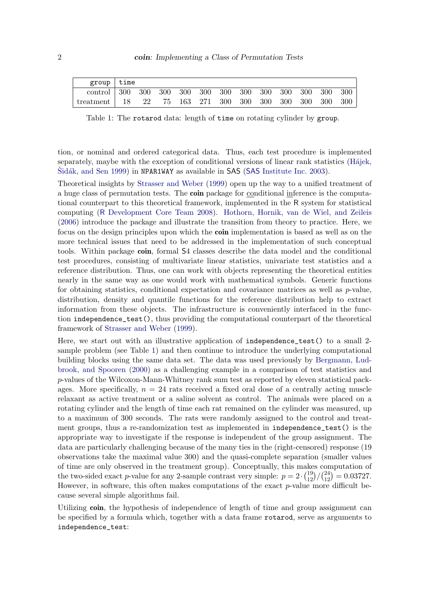| $group$   time |    |  |  |  |  |         |                                            |
|----------------|----|--|--|--|--|---------|--------------------------------------------|
|                |    |  |  |  |  | 300 300 |                                            |
| treatment   18 | 22 |  |  |  |  |         | 75 163 271 300 300 300 300 300 300 300 300 |

<span id="page-1-0"></span>Table 1: The rotarod data: length of time on rotating cylinder by group.

tion, or nominal and ordered categorical data. Thus, each test procedure is implemented separately, maybe with the exception of conditional versions of linear rank statistics (H $\acute{a}$ jek, Sidák, and Sen 1999) in NPAR1WAY as available in SAS (SAS [Institute Inc. 2003\)](#page-20-4).

Theoretical insights by [Strasser and Weber](#page-20-5) [\(1999\)](#page-20-5) open up the way to a unified treatment of a huge class of permutation tests. The **coin** package for conditional inference is the computational counterpart to this theoretical framework, implemented in the R system for statistical computing (R [Development Core Team 2008\)](#page-20-0). [Hothorn, Hornik, van de Wiel, and Zeileis](#page-19-6) [\(2006\)](#page-19-6) introduce the package and illustrate the transition from theory to practice. Here, we focus on the design principles upon which the **coin** implementation is based as well as on the more technical issues that need to be addressed in the implementation of such conceptual tools. Within package coin, formal S4 classes describe the data model and the conditional test procedures, consisting of multivariate linear statistics, univariate test statistics and a reference distribution. Thus, one can work with objects representing the theoretical entities nearly in the same way as one would work with mathematical symbols. Generic functions for obtaining statistics, conditional expectation and covariance matrices as well as  $p$ -value, distribution, density and quantile functions for the reference distribution help to extract information from these objects. The infrastructure is conveniently interfaced in the function independence\_test(), thus providing the computational counterpart of the theoretical framework of [Strasser and Weber](#page-20-5) [\(1999\)](#page-20-5).

Here, we start out with an illustrative application of independence\_test() to a small 2 sample problem (see Table [1\)](#page-1-0) and then continue to introduce the underlying computational building blocks using the same data set. The data was used previously by [Bergmann, Lud](#page-19-7)[brook, and Spooren](#page-19-7) [\(2000\)](#page-19-7) as a challenging example in a comparison of test statistics and p-values of the Wilcoxon-Mann-Whitney rank sum test as reported by eleven statistical packages. More specifically,  $n = 24$  rats received a fixed oral dose of a centrally acting muscle relaxant as active treatment or a saline solvent as control. The animals were placed on a rotating cylinder and the length of time each rat remained on the cylinder was measured, up to a maximum of 300 seconds. The rats were randomly assigned to the control and treatment groups, thus a re-randomization test as implemented in independence\_test() is the appropriate way to investigate if the response is independent of the group assignment. The data are particularly challenging because of the many ties in the (right-censored) response (19 observations take the maximal value 300) and the quasi-complete separation (smaller values of time are only observed in the treatment group). Conceptually, this makes computation of the two-sided exact *p*-value for any 2-sample contrast very simple:  $p = 2 \cdot {19 \choose 12} / {24 \choose 12} = 0.03727$ . However, in software, this often makes computations of the exact p-value more difficult because several simple algorithms fail.

Utilizing coin, the hypothesis of independence of length of time and group assignment can be specified by a formula which, together with a data frame rotarod, serve as arguments to independence\_test: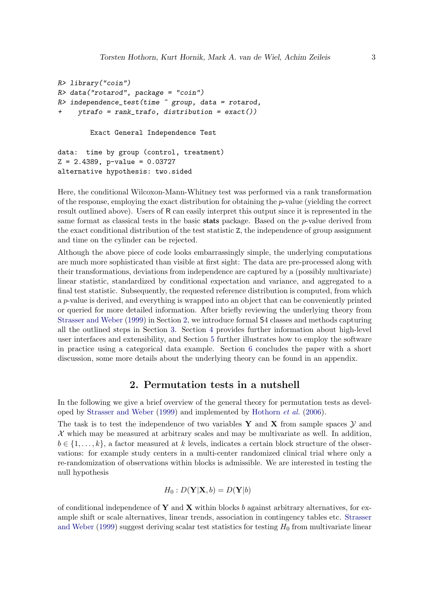```
R> library("coin")
R> data("rotarod", package = "coin")
R> independence_test(time ~ group, data = rotarod,
     + ytrafo = rank_trafo, distribution = exact())
```
Exact General Independence Test

```
data: time by group (control, treatment)
Z = 2.4389, p-value = 0.03727
alternative hypothesis: two.sided
```
Here, the conditional Wilcoxon-Mann-Whitney test was performed via a rank transformation of the response, employing the exact distribution for obtaining the p-value (yielding the correct result outlined above). Users of R can easily interpret this output since it is represented in the same format as classical tests in the basic stats package. Based on the p-value derived from the exact conditional distribution of the test statistic Z, the independence of group assignment and time on the cylinder can be rejected.

Although the above piece of code looks embarrassingly simple, the underlying computations are much more sophisticated than visible at first sight: The data are pre-processed along with their transformations, deviations from independence are captured by a (possibly multivariate) linear statistic, standardized by conditional expectation and variance, and aggregated to a final test statistic. Subsequently, the requested reference distribution is computed, from which a p-value is derived, and everything is wrapped into an object that can be conveniently printed or queried for more detailed information. After briefly reviewing the underlying theory from [Strasser and Weber](#page-20-5) [\(1999\)](#page-20-5) in Section [2,](#page-2-0) we introduce formal S4 classes and methods capturing all the outlined steps in Section [3.](#page-3-0) Section [4](#page-10-0) provides further information about high-level user interfaces and extensibility, and Section [5](#page-14-0) further illustrates how to employ the software in practice using a categorical data example. Section [6](#page-17-0) concludes the paper with a short discussion, some more details about the underlying theory can be found in an appendix.

#### 2. Permutation tests in a nutshell

<span id="page-2-0"></span>In the following we give a brief overview of the general theory for permutation tests as developed by [Strasser and Weber](#page-20-5) [\(1999\)](#page-20-5) and implemented by [Hothorn](#page-19-6) *et al.* [\(2006\)](#page-19-6).

The task is to test the independence of two variables Y and X from sample spaces  $\mathcal Y$  and  $\mathcal X$  which may be measured at arbitrary scales and may be multivariate as well. In addition,  $b \in \{1, \ldots, k\}$ , a factor measured at k levels, indicates a certain block structure of the observations: for example study centers in a multi-center randomized clinical trial where only a re-randomization of observations within blocks is admissible. We are interested in testing the null hypothesis

$$
H_0: D(\mathbf{Y}|\mathbf{X},b) = D(\mathbf{Y}|b)
$$

of conditional independence of Y and X within blocks b against arbitrary alternatives, for example shift or scale alternatives, linear trends, association in contingency tables etc. [Strasser](#page-20-5) [and Weber](#page-20-5) [\(1999\)](#page-20-5) suggest deriving scalar test statistics for testing  $H_0$  from multivariate linear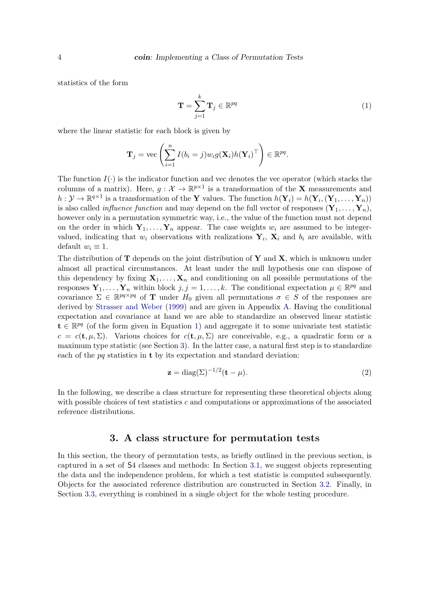statistics of the form

<span id="page-3-1"></span>
$$
\mathbf{T} = \sum_{j=1}^{k} \mathbf{T}_j \in \mathbb{R}^{pq}
$$
 (1)

where the linear statistic for each block is given by

$$
\mathbf{T}_j = \text{vec}\left(\sum_{i=1}^n I(b_i = j) w_i g(\mathbf{X}_i) h(\mathbf{Y}_i)^\top\right) \in \mathbb{R}^{pq}.
$$

The function  $I(\cdot)$  is the indicator function and vec denotes the vec operator (which stacks the columns of a matrix). Here,  $g: \mathcal{X} \to \mathbb{R}^{p \times 1}$  is a transformation of the **X** measurements and  $h: \mathcal{Y} \to \mathbb{R}^{q \times 1}$  is a transformation of the Y values. The function  $h(\mathbf{Y}_i) = h(\mathbf{Y}_i, (\mathbf{Y}_1, \dots, \mathbf{Y}_n))$ is also called *influence function* and may depend on the full vector of responses  $(Y_1, \ldots, Y_n)$ , however only in a permutation symmetric way, i.e., the value of the function must not depend on the order in which  $Y_1, \ldots, Y_n$  appear. The case weights  $w_i$  are assumed to be integervalued, indicating that  $w_i$  observations with realizations  $Y_i$ ,  $X_i$  and  $b_i$  are available, with default  $w_i \equiv 1$ .

The distribution of  $T$  depends on the joint distribution of  $Y$  and  $X$ , which is unknown under almost all practical circumstances. At least under the null hypothesis one can dispose of this dependency by fixing  $X_1, \ldots, X_n$  and conditioning on all possible permutations of the responses  $Y_1, \ldots, Y_n$  within block  $j, j = 1, \ldots, k$ . The conditional expectation  $\mu \in \mathbb{R}^{pq}$  and covariance  $\Sigma \in \mathbb{R}^{pq \times pq}$  of **T** under  $H_0$  given all permutations  $\sigma \in S$  of the responses are derived by [Strasser and Weber](#page-20-5) [\(1999\)](#page-20-5) and are given in Appendix [A.](#page-21-0) Having the conditional expectation and covariance at hand we are able to standardize an observed linear statistic  $\mathbf{t} \in \mathbb{R}^{pq}$  (of the form given in Equation [1\)](#page-3-1) and aggregate it to some univariate test statistic  $c = c(\mathbf{t}, \mu, \Sigma)$ . Various choices for  $c(\mathbf{t}, \mu, \Sigma)$  are conceivable, e.g., a quadratic form or a maximum type statistic (see Section [3\)](#page-3-0). In the latter case, a natural first step is to standardize each of the  $pq$  statistics in **t** by its expectation and standard deviation:

<span id="page-3-2"></span>
$$
\mathbf{z} = \text{diag}(\Sigma)^{-1/2}(\mathbf{t} - \mu). \tag{2}
$$

In the following, we describe a class structure for representing these theoretical objects along with possible choices of test statistics c and computations or approximations of the associated reference distributions.

## 3. A class structure for permutation tests

<span id="page-3-0"></span>In this section, the theory of permutation tests, as briefly outlined in the previous section, is captured in a set of S4 classes and methods: In Section [3.1,](#page-4-0) we suggest objects representing the data and the independence problem, for which a test statistic is computed subsequently. Objects for the associated reference distribution are constructed in Section [3.2.](#page-7-0) Finally, in Section [3.3,](#page-9-0) everything is combined in a single object for the whole testing procedure.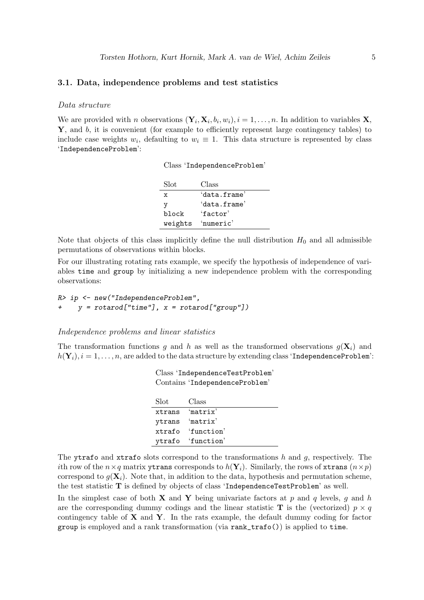## <span id="page-4-0"></span>3.1. Data, independence problems and test statistics

#### Data structure

We are provided with *n* observations  $(Y_i, X_i, b_i, w_i), i = 1, ..., n$ . In addition to variables **X**,  $\mathbf{Y}$ , and b, it is convenient (for example to efficiently represent large contingency tables) to include case weights  $w_i$ , defaulting to  $w_i \equiv 1$ . This data structure is represented by class 'IndependenceProblem':

|  | Class 'IndependenceProblem' |
|--|-----------------------------|
|--|-----------------------------|

| Slot    | Class        |
|---------|--------------|
| x       | 'data.frame' |
| v       | 'data.frame' |
| block   | 'factor'     |
| weights | 'numeric'    |

Note that objects of this class implicitly define the null distribution  $H_0$  and all admissible permutations of observations within blocks.

For our illustrating rotating rats example, we specify the hypothesis of independence of variables time and group by initializing a new independence problem with the corresponding observations:

*R> ip <- new("IndependenceProblem",*  $y = \text{rotarod}['time"]$ ,  $x = \text{rotarod}['group"]$ 

#### Independence problems and linear statistics

The transformation functions g and h as well as the transformed observations  $g(\mathbf{X}_i)$  and  $h(\mathbf{Y}_i), i = 1, \ldots, n$ , are added to the data structure by extending class 'IndependenceProblem':

| Class IndependencelestProblem<br>Contains 'IndependenceProblem' |                   |  |
|-----------------------------------------------------------------|-------------------|--|
| Slot                                                            | Class             |  |
|                                                                 | xtrans 'matrix'   |  |
|                                                                 | ytrans 'matrix'   |  |
|                                                                 | xtrafo 'function' |  |
|                                                                 | ytrafo 'function' |  |

Class 'IndependenceTestProblem'

The ytrafo and xtrafo slots correspond to the transformations  $h$  and  $g$ , respectively. The ith row of the  $n \times q$  matrix ytrans corresponds to  $h(\mathbf{Y}_i)$ . Similarly, the rows of xtrans  $(n \times p)$ correspond to  $g(\mathbf{X}_i)$ . Note that, in addition to the data, hypothesis and permutation scheme, the test statistic T is defined by objects of class 'IndependenceTestProblem' as well.

In the simplest case of both **X** and **Y** being univariate factors at p and q levels, q and h are the corresponding dummy codings and the linear statistic **T** is the (vectorized)  $p \times q$ contingency table of  $X$  and  $Y$ . In the rats example, the default dummy coding for factor group is employed and a rank transformation (via rank\_trafo()) is applied to time.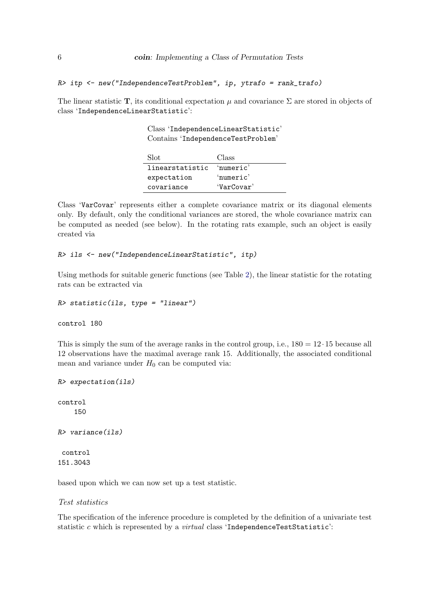*R> itp <- new("IndependenceTestProblem", ip, ytrafo = rank\_trafo)*

The linear statistic T, its conditional expectation  $\mu$  and covariance  $\Sigma$  are stored in objects of class 'IndependenceLinearStatistic':

> Class 'IndependenceLinearStatistic' Contains 'IndependenceTestProblem'

| Slot.           | Class      |
|-----------------|------------|
| linearstatistic | 'numeric'  |
| expectation     | 'numeric'  |
| covariance      | 'VarCovar' |

Class 'VarCovar' represents either a complete covariance matrix or its diagonal elements only. By default, only the conditional variances are stored, the whole covariance matrix can be computed as needed (see below). In the rotating rats example, such an object is easily created via

```
R> ils <- new("IndependenceLinearStatistic", itp)
```
Using methods for suitable generic functions (see Table [2\)](#page-6-0), the linear statistic for the rotating rats can be extracted via

```
R> statistic(ils, type = "linear")
```
control 180

This is simply the sum of the average ranks in the control group, i.e.,  $180 = 12 \cdot 15$  because all 12 observations have the maximal average rank 15. Additionally, the associated conditional mean and variance under  $H_0$  can be computed via:

```
R> expectation(ils)
control
    150
R> variance(ils)
control
151.3043
```
based upon which we can now set up a test statistic.

#### Test statistics

The specification of the inference procedure is completed by the definition of a univariate test statistic c which is represented by a *virtual* class 'IndependenceTestStatistic':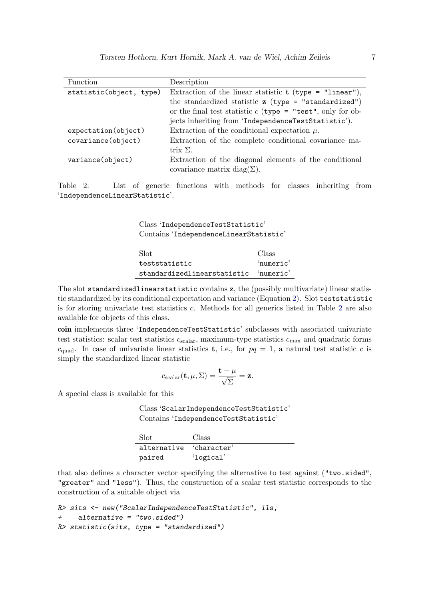| Function                | Description                                                  |
|-------------------------|--------------------------------------------------------------|
| statistic(object, type) | Extraction of the linear statistic $t$ (type = "linear"),    |
|                         | the standardized statistic $z$ (type = "standardized")       |
|                         | or the final test statistic $c$ (type = "test", only for ob- |
|                         | jects inheriting from 'IndependenceTestStatistic').          |
| expectation(object)     | Extraction of the conditional expectation $\mu$ .            |
| covariance(object)      | Extraction of the complete conditional covariance ma-        |
|                         | trix $\Sigma$ .                                              |
| variance(object)        | Extraction of the diagonal elements of the conditional       |
|                         | covariance matrix diag( $\Sigma$ ).                          |

<span id="page-6-0"></span>Table 2: List of generic functions with methods for classes inheriting from 'IndependenceLinearStatistic'.

> Class 'IndependenceTestStatistic' Contains 'IndependenceLinearStatistic'

| -Slot                                 | Class     |
|---------------------------------------|-----------|
| teststatistic                         | 'numeric' |
| standardizedlinearstatistic 'numeric' |           |

The slot standardizedlinearstatistic contains z, the (possibly multivariate) linear statistic standardized by its conditional expectation and variance (Equation [2\)](#page-3-2). Slot teststatistic is for storing univariate test statistics c. Methods for all generics listed in Table [2](#page-6-0) are also available for objects of this class.

coin implements three 'IndependenceTestStatistic' subclasses with associated univariate test statistics: scalar test statistics  $c_{\text{scalar}}$ , maximum-type statistics  $c_{\text{max}}$  and quadratic forms  $c_{\text{quad}}$ . In case of univariate linear statistics **t**, i.e., for  $pq = 1$ , a natural test statistic c is simply the standardized linear statistic

$$
c_{\text{scalar}}(\mathbf{t}, \mu, \Sigma) = \frac{\mathbf{t} - \mu}{\sqrt{\Sigma}} = \mathbf{z}.
$$

A special class is available for this

Class 'ScalarIndependenceTestStatistic' Contains 'IndependenceTestStatistic'

| -Slot                   | Class     |
|-------------------------|-----------|
| alternative 'character' |           |
| paired                  | 'logical' |

that also defines a character vector specifying the alternative to test against ("two.sided", "greater" and "less"). Thus, the construction of a scalar test statistic corresponds to the construction of a suitable object via

```
R> sits <- new("ScalarIndependenceTestStatistic", ils,
+ alternative = "two.sided")
R> statistic(sits, type = "standardized")
```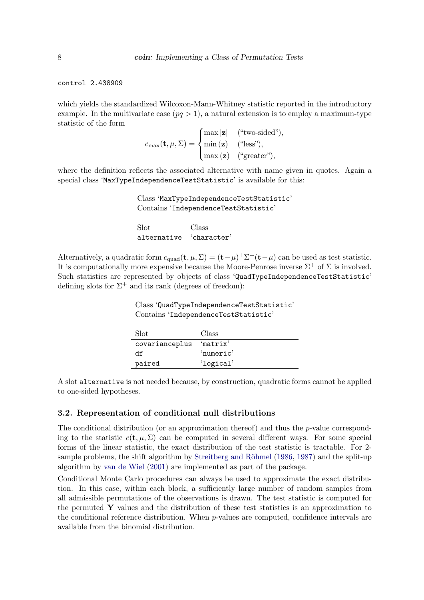control 2.438909

which yields the standardized Wilcoxon-Mann-Whitney statistic reported in the introductory example. In the multivariate case  $(pq > 1)$ , a natural extension is to employ a maximum-type statistic of the form

$$
c_{\max}(\mathbf{t}, \mu, \Sigma) = \begin{cases} \max |\mathbf{z}| & (\text{``two-sided''}), \\ \min (\mathbf{z}) & (\text{``less''}), \\ \max (\mathbf{z}) & (\text{``greater''}), \end{cases}
$$

where the definition reflects the associated alternative with name given in quotes. Again a special class 'MaxTypeIndependenceTestStatistic' is available for this:

Class 'MaxTypeIndependenceTestStatistic' Contains 'IndependenceTestStatistic'

| -Slot                   | Class |
|-------------------------|-------|
| alternative 'character' |       |

Alternatively, a quadratic form  $c_{\text{quad}}(\mathbf{t}, \mu, \Sigma) = (\mathbf{t} - \mu)^{\top} \Sigma^{+}(\mathbf{t} - \mu)$  can be used as test statistic. It is computationally more expensive because the Moore-Penrose inverse  $\Sigma^+$  of  $\Sigma$  is involved. Such statistics are represented by objects of class 'QuadTypeIndependenceTestStatistic' defining slots for  $\Sigma^+$  and its rank (degrees of freedom):

> Class 'QuadTypeIndependenceTestStatistic' Contains 'IndependenceTestStatistic'

| Slot           | Class     |
|----------------|-----------|
| covarianceplus | 'matrix'  |
| df             | 'numeric' |
| paired         | 'logical' |

A slot alternative is not needed because, by construction, quadratic forms cannot be applied to one-sided hypotheses.

#### <span id="page-7-0"></span>3.2. Representation of conditional null distributions

The conditional distribution (or an approximation thereof) and thus the  $p$ -value corresponding to the statistic  $c(\mathbf{t}, \mu, \Sigma)$  can be computed in several different ways. For some special forms of the linear statistic, the exact distribution of the test statistic is tractable. For 2- sample problems, the shift algorithm by Streitberg and Röhmel [\(1986,](#page-20-6) [1987\)](#page-20-7) and the split-up algorithm by [van de Wiel](#page-20-8) [\(2001\)](#page-20-8) are implemented as part of the package.

Conditional Monte Carlo procedures can always be used to approximate the exact distribution. In this case, within each block, a sufficiently large number of random samples from all admissible permutations of the observations is drawn. The test statistic is computed for the permuted  $\bf{Y}$  values and the distribution of these test statistics is an approximation to the conditional reference distribution. When  $p$ -values are computed, confidence intervals are available from the binomial distribution.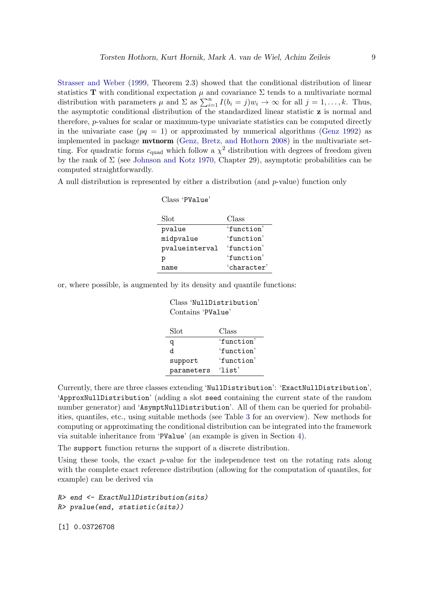[Strasser and Weber](#page-20-5) [\(1999,](#page-20-5) Theorem 2.3) showed that the conditional distribution of linear statistics T with conditional expectation  $\mu$  and covariance  $\Sigma$  tends to a multivariate normal distribution with parameters  $\mu$  and  $\Sigma$  as  $\sum_{i=1}^{n} I(b_i = j)w_i \to \infty$  for all  $j = 1, ..., k$ . Thus, the asymptotic conditional distribution of the standardized linear statistic z is normal and therefore, p-values for scalar or maximum-type univariate statistics can be computed directly in the univariate case ( $pq = 1$ ) or approximated by numerical algorithms [\(Genz 1992\)](#page-19-8) as implemented in package mvtnorm [\(Genz, Bretz, and Hothorn 2008\)](#page-19-9) in the multivariate setting. For quadratic forms  $c_{quad}$  which follow a  $\chi^2$  distribution with degrees of freedom given by the rank of  $\Sigma$  (see [Johnson and Kotz 1970,](#page-20-9) Chapter 29), asymptotic probabilities can be computed straightforwardly.

A null distribution is represented by either a distribution (and p-value) function only

| Class 'PValue' |               |
|----------------|---------------|
| Slot           | Class         |
| pvalue         | 'function'    |
| midpvalue      | $'$ function' |
| pvalueinterval | $'$ function' |
| р              | $'$ function' |
| name           | 'character'   |

or, where possible, is augmented by its density and quantile functions:

| Class 'NullDistribution'<br>Contains 'PValue' |               |  |
|-----------------------------------------------|---------------|--|
| Slot                                          | Class         |  |
| q                                             | $'$ function' |  |
| h                                             | 'function'    |  |
| support                                       | 'function'    |  |
| parameters                                    | $'$ list'     |  |

Currently, there are three classes extending 'NullDistribution': 'ExactNullDistribution', 'ApproxNullDistribution' (adding a slot seed containing the current state of the random number generator) and 'AsymptNullDistribution'. All of them can be queried for probabilities, quantiles, etc., using suitable methods (see Table [3](#page-9-1) for an overview). New methods for computing or approximating the conditional distribution can be integrated into the framework via suitable inheritance from 'PValue' (an example is given in Section [4\)](#page-10-0).

The support function returns the support of a discrete distribution.

Using these tools, the exact  $p$ -value for the independence test on the rotating rats along with the complete exact reference distribution (allowing for the computation of quantiles, for example) can be derived via

```
R> end <- ExactNullDistribution(sits)
R> pvalue(end, statistic(sits))
```
[1] 0.03726708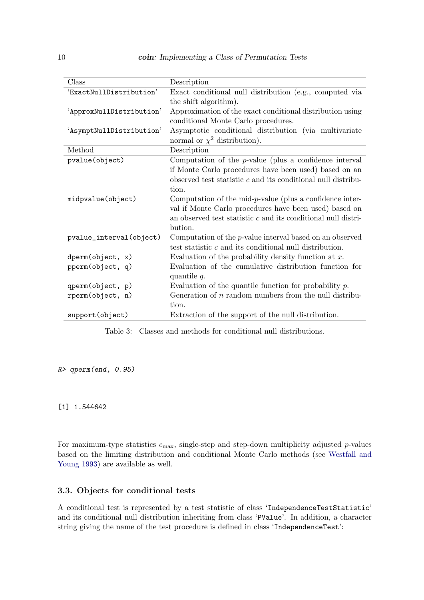| Class                    | Description                                                     |
|--------------------------|-----------------------------------------------------------------|
| 'ExactNullDistribution'  | Exact conditional null distribution (e.g., computed via         |
|                          | the shift algorithm).                                           |
| 'ApproxNullDistribution' | Approximation of the exact conditional distribution using       |
|                          | conditional Monte Carlo procedures.                             |
| 'AsymptNullDistribution' | Asymptotic conditional distribution (via multivariate           |
|                          | normal or $\chi^2$ distribution).                               |
| Method                   | Description                                                     |
| pvalue(object)           | Computation of the $p$ -value (plus a confidence interval       |
|                          | if Monte Carlo procedures have been used) based on an           |
|                          | observed test statistic $c$ and its conditional null distribu-  |
|                          | tion.                                                           |
| midpvalue(object)        | Computation of the mid-p-value (plus a confidence inter-        |
|                          | val if Monte Carlo procedures have been used) based on          |
|                          | an observed test statistic $c$ and its conditional null distri- |
|                          | bution.                                                         |
| pvalue_interval(object)  | Computation of the $p$ -value interval based on an observed     |
|                          | test statistic $c$ and its conditional null distribution.       |
| dperm(object, x)         | Evaluation of the probability density function at $x$ .         |
| pperm(object, q)         | Evaluation of the cumulative distribution function for          |
|                          | quantile $q$ .                                                  |
| qperm(object, p)         | Evaluation of the quantile function for probability $p$ .       |
| rperm(object, n)         | Generation of $n$ random numbers from the null distribu-        |
|                          | tion.                                                           |
| support(object)          | Extraction of the support of the null distribution.             |

<span id="page-9-1"></span>Table 3: Classes and methods for conditional null distributions.

*R> qperm(end, 0.95)*

[1] 1.544642

For maximum-type statistics  $c_{\text{max}}$ , single-step and step-down multiplicity adjusted p-values based on the limiting distribution and conditional Monte Carlo methods (see [Westfall and](#page-20-10) [Young 1993\)](#page-20-10) are available as well.

#### <span id="page-9-0"></span>3.3. Objects for conditional tests

A conditional test is represented by a test statistic of class 'IndependenceTestStatistic' and its conditional null distribution inheriting from class 'PValue'. In addition, a character string giving the name of the test procedure is defined in class 'IndependenceTest':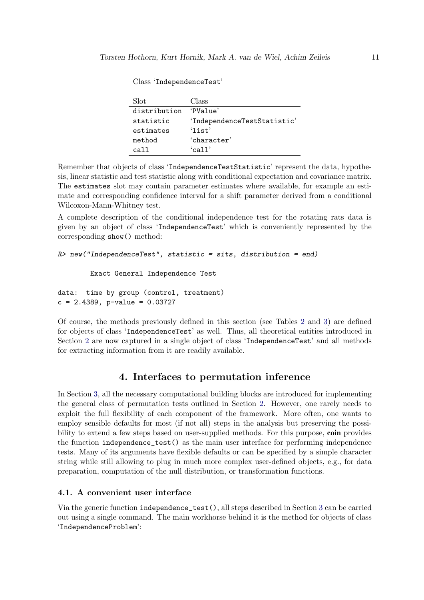| Slot         | Class                       |
|--------------|-----------------------------|
| distribution | 'Pya1ue'                    |
| statistic    | 'IndependenceTestStatistic' |
| estimates    | $'$ list'                   |
| method       | 'character'                 |
| call         | $\lambda$ call'             |

Class 'IndependenceTest'

Remember that objects of class 'IndependenceTestStatistic' represent the data, hypothesis, linear statistic and test statistic along with conditional expectation and covariance matrix. The estimates slot may contain parameter estimates where available, for example an estimate and corresponding confidence interval for a shift parameter derived from a conditional Wilcoxon-Mann-Whitney test.

A complete description of the conditional independence test for the rotating rats data is given by an object of class 'IndependenceTest' which is conveniently represented by the corresponding show() method:

```
R> new("IndependenceTest", statistic = sits, distribution = end)
```
Exact General Independence Test

```
data: time by group (control, treatment)
c = 2.4389, p-value = 0.03727
```
Of course, the methods previously defined in this section (see Tables [2](#page-6-0) and [3\)](#page-9-1) are defined for objects of class 'IndependenceTest' as well. Thus, all theoretical entities introduced in Section [2](#page-2-0) are now captured in a single object of class 'IndependenceTest' and all methods for extracting information from it are readily available.

# 4. Interfaces to permutation inference

<span id="page-10-0"></span>In Section [3,](#page-3-0) all the necessary computational building blocks are introduced for implementing the general class of permutation tests outlined in Section [2.](#page-2-0) However, one rarely needs to exploit the full flexibility of each component of the framework. More often, one wants to employ sensible defaults for most (if not all) steps in the analysis but preserving the possibility to extend a few steps based on user-supplied methods. For this purpose, **coin** provides the function independence\_test() as the main user interface for performing independence tests. Many of its arguments have flexible defaults or can be specified by a simple character string while still allowing to plug in much more complex user-defined objects, e.g., for data preparation, computation of the null distribution, or transformation functions.

## 4.1. A convenient user interface

Via the generic function independence\_test(), all steps described in Section [3](#page-3-0) can be carried out using a single command. The main workhorse behind it is the method for objects of class 'IndependenceProblem':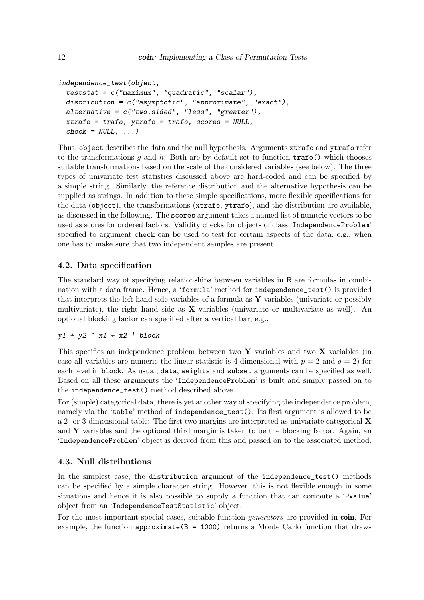```
independence_test(object,
  teststat = c("maximum", "quadratic", "scalar"),
  distribution = c("asymptotic", "approximate", "exact"),
  alternative = c("two.sided", "less", "greater"),
 xtrafo = trafo, ytrafo = trafo, scores = NULL,
  check = NULL, ...)
```
Thus, object describes the data and the null hypothesis. Arguments xtrafo and ytrafo refer to the transformations q and h: Both are by default set to function  $\text{trafo}()$  which chooses suitable transformations based on the scale of the considered variables (see below). The three types of univariate test statistics discussed above are hard-coded and can be specified by a simple string. Similarly, the reference distribution and the alternative hypothesis can be supplied as strings. In addition to these simple specifications, more flexible specifications for the data (object), the transformations (xtrafo, ytrafo), and the distribution are available, as discussed in the following. The scores argument takes a named list of numeric vectors to be used as scores for ordered factors. Validity checks for objects of class 'IndependenceProblem' specified to argument check can be used to test for certain aspects of the data, e.g., when one has to make sure that two independent samples are present.

## 4.2. Data specification

The standard way of specifying relationships between variables in R are formulas in combination with a data frame. Hence, a 'formula' method for independence\_test() is provided that interprets the left hand side variables of a formula as  $\bf{Y}$  variables (univariate or possibly multivariate), the right hand side as  $X$  variables (univariate or multivariate as well). An optional blocking factor can specified after a vertical bar, e.g.,

## *y1 + y2 ~ x1 + x2 | block*

This specifies an independence problem between two  $\bf{Y}$  variables and two  $\bf{X}$  variables (in case all variables are numeric the linear statistic is 4-dimensional with  $p = 2$  and  $q = 2$ ) for each level in block. As usual, data, weights and subset arguments can be specified as well. Based on all these arguments the 'IndependenceProblem' is built and simply passed on to the independence\_test() method described above.

For (simple) categorical data, there is yet another way of specifying the independence problem, namely via the 'table' method of independence\_test(). Its first argument is allowed to be a 2- or 3-dimensional table: The first two margins are interpreted as univariate categorical  $\bf{X}$ and  $\bf{Y}$  variables and the optional third margin is taken to be the blocking factor. Again, an 'IndependenceProblem' object is derived from this and passed on to the associated method.

## 4.3. Null distributions

In the simplest case, the distribution argument of the independence\_test() methods can be specified by a simple character string. However, this is not flexible enough in some situations and hence it is also possible to supply a function that can compute a 'PValue' object from an 'IndependenceTestStatistic' object.

For the most important special cases, suitable function *generators* are provided in coin. For example, the function approximate  $(B = 1000)$  returns a Monte Carlo function that draws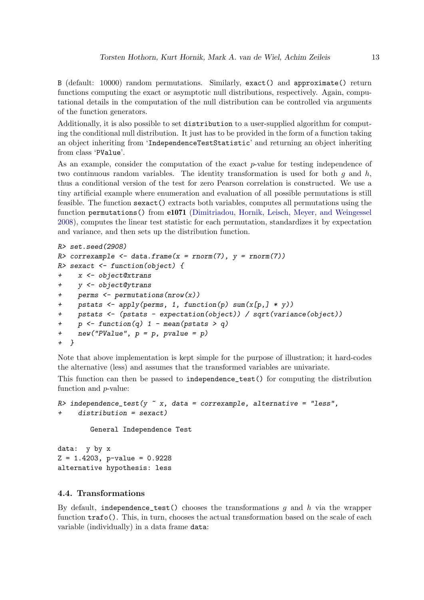B (default: 10000) random permutations. Similarly, exact() and approximate() return functions computing the exact or asymptotic null distributions, respectively. Again, computational details in the computation of the null distribution can be controlled via arguments of the function generators.

Additionally, it is also possible to set distribution to a user-supplied algorithm for computing the conditional null distribution. It just has to be provided in the form of a function taking an object inheriting from 'IndependenceTestStatistic' and returning an object inheriting from class 'PValue'.

As an example, consider the computation of the exact  $p$ -value for testing independence of two continuous random variables. The identity transformation is used for both  $q$  and  $h$ , thus a conditional version of the test for zero Pearson correlation is constructed. We use a tiny artificial example where enumeration and evaluation of all possible permutations is still feasible. The function sexact() extracts both variables, computes all permutations using the function permutations() from e1071 [\(Dimitriadou, Hornik, Leisch, Meyer, and Weingessel](#page-19-10) [2008\)](#page-19-10), computes the linear test statistic for each permutation, standardizes it by expectation and variance, and then sets up the distribution function.

```
R> set.seed(2908)
R> correxample <- data.frame(x = rnorm(7), y = rnorm(7))
R> sexact <- function(object) {
+ x <- object@xtrans
+ y <- object@ytrans
+ perms <- permutations(nrow(x))
+ pstats <- apply(perms, 1, function(p) sum(x[p,] * y))
+ pstats <- (pstats - expectation(object)) / sqrt(variance(object))
    + p <- function(q) 1 - mean(pstats > q)
+ new("PValue", p = p, pvalue = p)
+ }
```
Note that above implementation is kept simple for the purpose of illustration; it hard-codes the alternative (less) and assumes that the transformed variables are univariate.

This function can then be passed to independence\_test() for computing the distribution function and p-value:

```
R> independence_test(y ~ x, data = correxample, alternative = "less",
     + distribution = sexact)
```
General Independence Test

data: y by x  $Z = 1.4203$ , p-value = 0.9228 alternative hypothesis: less

#### 4.4. Transformations

By default, independence\_test() chooses the transformations q and h via the wrapper function  $\text{traf}_0()$ . This, in turn, chooses the actual transformation based on the scale of each variable (individually) in a data frame data: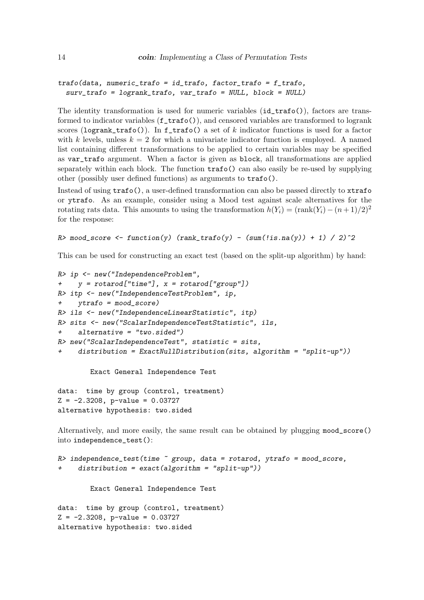```
trafo(data, numeric_trafo = id_trafo, factor_trafo = f_trafo,
 surv_trafo = logrank_trafo, var_trafo = NULL, block = NULL)
```
The identity transformation is used for numeric variables (id\_trafo()), factors are transformed to indicator variables  $(f\_trafo())$ , and censored variables are transformed to logrank scores (logrank\_trafo()). In  $f$ \_trafo() a set of k indicator functions is used for a factor with k levels, unless  $k = 2$  for which a univariate indicator function is employed. A named list containing different transformations to be applied to certain variables may be specified as var\_trafo argument. When a factor is given as block, all transformations are applied separately within each block. The function trafo() can also easily be re-used by supplying other (possibly user defined functions) as arguments to trafo().

Instead of using trafo(), a user-defined transformation can also be passed directly to xtrafo or ytrafo. As an example, consider using a Mood test against scale alternatives for the rotating rats data. This amounts to using the transformation  $h(Y_i) = (\text{rank}(Y_i) - (n+1)/2)^2$ for the response:

```
R> mood_score <- function(y) (rank_trafo(y) - (sum(!is.na(y)) + 1) / 2)^2
```
This can be used for constructing an exact test (based on the split-up algorithm) by hand:

```
R> ip <- new("IndependenceProblem",
+ y = rotarod["time"], x = rotarod["group"])
R> itp <- new("IndependenceTestProblem", ip,
     + ytrafo = mood_score)
R> ils <- new("IndependenceLinearStatistic", itp)
R> sits <- new("ScalarIndependenceTestStatistic", ils,
+ alternative = "two.sided")
R> new("ScalarIndependenceTest", statistic = sits,
     + distribution = ExactNullDistribution(sits, algorithm = "split-up"))
```
Exact General Independence Test

data: time by group (control, treatment)  $Z = -2.3208$ , p-value = 0.03727 alternative hypothesis: two.sided

Alternatively, and more easily, the same result can be obtained by plugging mood\_score() into independence\_test():

```
R> independence_test(time ~ group, data = rotarod, ytrafo = mood_score,
+ distribution = exact(algorithm = "split-up"))
       Exact General Independence Test
```

```
data: time by group (control, treatment)
Z = -2.3208, p-value = 0.03727
alternative hypothesis: two.sided
```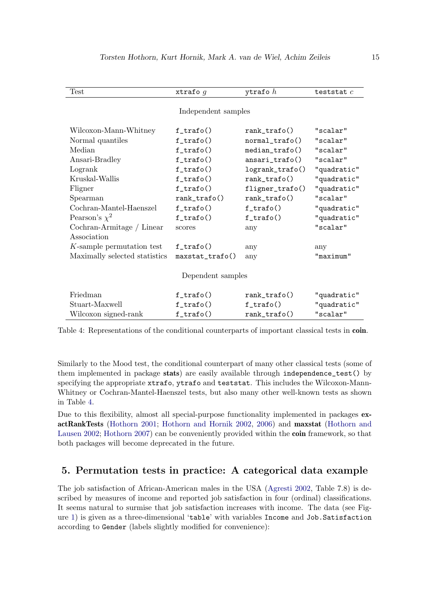| Test                          | xtrafo $g$           | ytrafo $h$        | teststat $c$ |  |  |
|-------------------------------|----------------------|-------------------|--------------|--|--|
| Independent samples           |                      |                   |              |  |  |
|                               |                      |                   |              |  |  |
| Wilcoxon-Mann-Whitney         | $f$ _trafo()         | $rank\_trafo()$   | "scalar"     |  |  |
| Normal quantiles              | $f$ _trafo()         | $normal\_trafo()$ | "scalar"     |  |  |
| Median                        | $f_{\text{trafo}}()$ | $median\_trafo()$ | "scalar"     |  |  |
| Ansari-Bradley                | $f_{\text{trafo}}()$ | $ansari\_trafo()$ | "scalar"     |  |  |
| Logrank                       | $f_{\text{trafo}}()$ | logrank_trafo()   | "quadratic"  |  |  |
| Kruskal-Wallis                | $f$ _trafo()         | $rank\_trafo()$   | "quadratic"  |  |  |
| Fligner                       | $f$ _trafo $()$      | fligner_trafo()   | "quadratic"  |  |  |
| Spearman                      | rank_trafo()         | $rank\_trafo()$   | "scalar"     |  |  |
| Cochran-Mantel-Haenszel       | $f$ _trafo $()$      | $f$ _trafo()      | "quadratic"  |  |  |
| Pearson's $\chi^2$            | $f$ _trafo $()$      | $f$ _trafo()      | "quadratic"  |  |  |
| Cochran-Armitage / Linear     | scores               | any               | "scalar"     |  |  |
| Association                   |                      |                   |              |  |  |
| K-sample permutation test     | $f$ _trafo()         | any               | any          |  |  |
| Maximally selected statistics | $maxstat\_trafo()$   | any               | "maximum"    |  |  |
|                               |                      |                   |              |  |  |
| Dependent samples             |                      |                   |              |  |  |
| Friedman                      | $f_{\text{trafo}}()$ | $rank\_trafo()$   | "quadratic"  |  |  |
| Stuart-Maxwell                | $f$ _trafo()         | $f$ _trafo()      | "quadratic"  |  |  |
| Wilcoxon signed-rank          | $f$ _trafo $()$      | rank_trafo()      | "scalar"     |  |  |

<span id="page-14-1"></span>Table 4: Representations of the conditional counterparts of important classical tests in coin.

Similarly to the Mood test, the conditional counterpart of many other classical tests (some of them implemented in package stats) are easily available through independence\_test() by specifying the appropriate xtrafo, ytrafo and teststat. This includes the Wilcoxon-Mann-Whitney or Cochran-Mantel-Haenszel tests, but also many other well-known tests as shown in Table [4.](#page-14-1)

Due to this flexibility, almost all special-purpose functionality implemented in packages exactRankTests [\(Hothorn 2001;](#page-19-11) [Hothorn and Hornik 2002,](#page-19-12) [2006\)](#page-19-13) and maxstat [\(Hothorn and](#page-19-14) [Lausen 2002;](#page-19-14) [Hothorn 2007\)](#page-19-15) can be conveniently provided within the **coin** framework, so that both packages will become deprecated in the future.

# <span id="page-14-0"></span>5. Permutation tests in practice: A categorical data example

The job satisfaction of African-American males in the USA [\(Agresti 2002,](#page-18-0) Table 7.8) is described by measures of income and reported job satisfaction in four (ordinal) classifications. It seems natural to surmise that job satisfaction increases with income. The data (see Figure [1\)](#page-15-0) is given as a three-dimensional 'table' with variables Income and Job.Satisfaction according to Gender (labels slightly modified for convenience):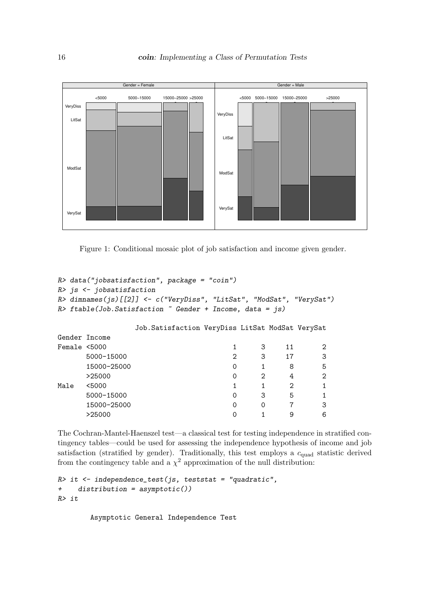

<span id="page-15-0"></span>Figure 1: Conditional mosaic plot of job satisfaction and income given gender.

```
R> data("jobsatisfaction", package = "coin")
R> js <- jobsatisfaction
R> dimnames(js)[[2]] <- c("VeryDiss", "LitSat", "ModSat", "VerySat")
R> ftable(Job.Satisfaction ~ Gender + Income, data = js)
          Job.Satisfaction VeryDiss LitSat ModSat VerySat
Gender Income
Female <5000 1 3 11 2
   5000-15000 2 3 17 3
   15000-25000 0 1 8 5
    >25000 0 2 4 2
Male <5000 1 1 2 1
   5000-15000 0 3 5 1
   15000-25000 0 0 7 3
    >25000 0 1 9 6
```
The Cochran-Mantel-Haenszel test—a classical test for testing independence in stratified contingency tables—could be used for assessing the independence hypothesis of income and job satisfaction (stratified by gender). Traditionally, this test employs a  $c_{quad}$  statistic derived from the contingency table and a  $\chi^2$  approximation of the null distribution:

```
R> it <- independence_test(js, teststat = "quadratic",
+ distribution = asymptotic())
R> it
```
Asymptotic General Independence Test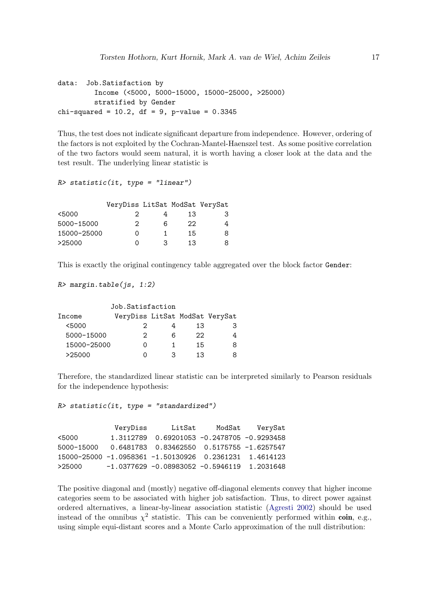```
data: Job.Satisfaction by
         Income (<5000, 5000-15000, 15000-25000, >25000)
         stratified by Gender
chi-squared = 10.2, df = 9, p-value = 0.3345
```
Thus, the test does not indicate significant departure from independence. However, ordering of the factors is not exploited by the Cochran-Mantel-Haenszel test. As some positive correlation of the two factors would seem natural, it is worth having a closer look at the data and the test result. The underlying linear statistic is

```
R> statistic(it, type = "linear")
```

|             | VeryDiss LitSat ModSat VerySat |   |    |    |
|-------------|--------------------------------|---|----|----|
| <5000       | 2                              |   | 13 | З. |
| 5000-15000  | 2                              | 6 | 22 |    |
| 15000-25000 | Ω                              |   | 15 | 8. |
| >25000      | $\Omega$                       | ຊ | 13 |    |

This is exactly the original contingency table aggregated over the block factor Gender:

```
R> margin.table(js, 1:2)
```

| Job.Satisfaction |                                |   |    |   |
|------------------|--------------------------------|---|----|---|
| Income           | VeryDiss LitSat ModSat VerySat |   |    |   |
| < 5000           |                                |   | 13 | З |
| 5000-15000       | 2                              | հ | 22 | 4 |
| 15000-25000      | $\left( \right)$               |   | 15 | 8 |
| >25000           | 0                              | 3 | 13 | 8 |

Therefore, the standardized linear statistic can be interpreted similarly to Pearson residuals for the independence hypothesis:

```
R> statistic(it, type = "standardized")
```

|            | VeryDiss | LitSat                                                 | ModSat | VerySat |
|------------|----------|--------------------------------------------------------|--------|---------|
| <5000      |          | 1.3112789  0.69201053  -0.2478705  -0.9293458          |        |         |
| 5000-15000 |          | 0.6481783  0.83462550  0.5175755  -1.6257547           |        |         |
|            |          | 15000-25000 -1.0958361 -1.50130926 0.2361231 1.4614123 |        |         |
| >25000     |          | $-1.0377629 -0.08983052 -0.5946119$ 1.2031648          |        |         |

The positive diagonal and (mostly) negative off-diagonal elements convey that higher income categories seem to be associated with higher job satisfaction. Thus, to direct power against ordered alternatives, a linear-by-linear association statistic [\(Agresti 2002\)](#page-18-0) should be used instead of the omnibus  $\chi^2$  statistic. This can be conveniently performed within coin, e.g., using simple equi-distant scores and a Monte Carlo approximation of the null distribution: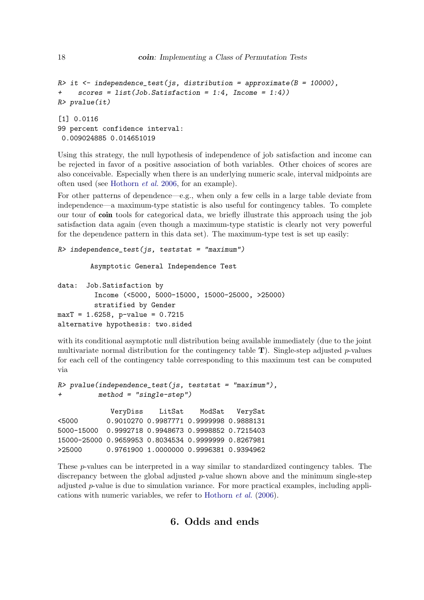```
R> it <- independence_test(js, distribution = approximate(B = 10000),
+ scores = list(Job.Satisfaction = 1:4, Income = 1:4))
R> pvalue(it)
[1] 0.0116
99 percent confidence interval:
0.009024885 0.014651019
```
Using this strategy, the null hypothesis of independence of job satisfaction and income can be rejected in favor of a positive association of both variables. Other choices of scores are also conceivable. Especially when there is an underlying numeric scale, interval midpoints are often used (see [Hothorn](#page-19-6) *et al.* [2006,](#page-19-6) for an example).

For other patterns of dependence—e.g., when only a few cells in a large table deviate from independence—a maximum-type statistic is also useful for contingency tables. To complete our tour of coin tools for categorical data, we briefly illustrate this approach using the job satisfaction data again (even though a maximum-type statistic is clearly not very powerful for the dependence pattern in this data set). The maximum-type test is set up easily:

```
R> independence_test(js, teststat = "maximum")
```
Asymptotic General Independence Test

```
data: Job.Satisfaction by
         Income (<5000, 5000-15000, 15000-25000, >25000)
         stratified by Gender
maxT = 1.6258, p-value = 0.7215
alternative hypothesis: two.sided
```
with its conditional asymptotic null distribution being available immediately (due to the joint multivariate normal distribution for the contingency table  $T$ ). Single-step adjusted p-values for each cell of the contingency table corresponding to this maximum test can be computed via

```
R> pvalue(independence_test(js, teststat = "maximum"),
+ method = "single-step")
           VeryDiss LitSat ModSat VerySat
<5000 0.9010270 0.9987771 0.9999998 0.9888131
```
5000-15000 0.9992718 0.9948673 0.9998852 0.7215403 15000-25000 0.9659953 0.8034534 0.9999999 0.8267981 >25000 0.9761900 1.0000000 0.9996381 0.9394962

<span id="page-17-0"></span>These p-values can be interpreted in a way similar to standardized contingency tables. The discrepancy between the global adjusted  $p$ -value shown above and the minimum single-step adjusted  $p$ -value is due to simulation variance. For more practical examples, including applications with numeric variables, we refer to [Hothorn](#page-19-6) *et al.* [\(2006\)](#page-19-6).

# 6. Odds and ends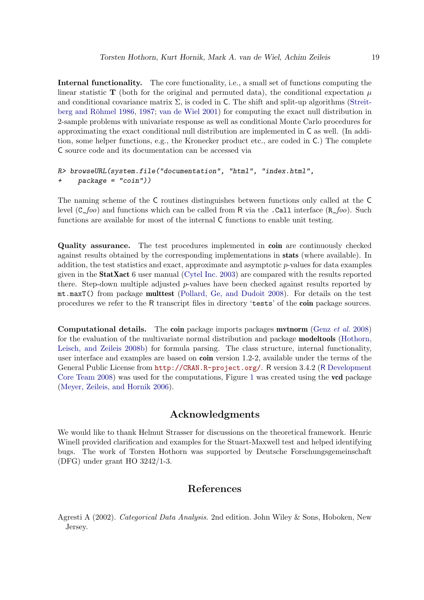Internal functionality. The core functionality, i.e., a small set of functions computing the linear statistic T (both for the original and permuted data), the conditional expectation  $\mu$ and conditional covariance matrix  $\Sigma$ , is coded in C. The shift and split-up algorithms [\(Streit-](#page-20-6)berg and Röhmel 1986, [1987;](#page-20-7) [van de Wiel 2001\)](#page-20-8) for computing the exact null distribution in 2-sample problems with univariate response as well as conditional Monte Carlo procedures for approximating the exact conditional null distribution are implemented in C as well. (In addition, some helper functions, e.g., the Kronecker product etc., are coded in C.) The complete C source code and its documentation can be accessed via

```
R> browseURL(system.file("documentation", "html", "index.html",
+ package = "coin"))
```
The naming scheme of the C routines distinguishes between functions only called at the C level (C\_*foo*) and functions which can be called from R via the .Call interface (R\_*foo*). Such functions are available for most of the internal C functions to enable unit testing.

Quality assurance. The test procedures implemented in coin are continuously checked against results obtained by the corresponding implementations in stats (where available). In addition, the test statistics and exact, approximate and asymptotic  $p$ -values for data examples given in the StatXact 6 user manual [\(Cytel Inc. 2003\)](#page-19-3) are compared with the results reported there. Step-down multiple adjusted  $p$ -values have been checked against results reported by mt.maxT() from package multtest [\(Pollard, Ge, and Dudoit 2008\)](#page-20-11). For details on the test procedures we refer to the R transcript files in directory 'tests' of the coin package sources.

Computational details. The coin package imports packages mvtnorm [\(Genz](#page-19-9) *et al.* [2008\)](#page-19-9) for the evaluation of the multivariate normal distribution and package modeltools [\(Hothorn,](#page-19-16) [Leisch, and Zeileis 2008b\)](#page-19-16) for formula parsing. The class structure, internal functionality, user interface and examples are based on **coin** version 1.2-2, available under the terms of the General Public License from <http://CRAN.R-project.org/>. R version 3.4.2 (R [Development](#page-20-0) [Core Team 2008\)](#page-20-0) was used for the computations, Figure [1](#page-15-0) was created using the vcd package [\(Meyer, Zeileis, and Hornik 2006\)](#page-20-12).

# Acknowledgments

We would like to thank Helmut Strasser for discussions on the theoretical framework. Henric Winell provided clarification and examples for the Stuart-Maxwell test and helped identifying bugs. The work of Torsten Hothorn was supported by Deutsche Forschungsgemeinschaft (DFG) under grant HO 3242/1-3.

# References

<span id="page-18-0"></span>Agresti A (2002). *Categorical Data Analysis*. 2nd edition. John Wiley & Sons, Hoboken, New Jersey.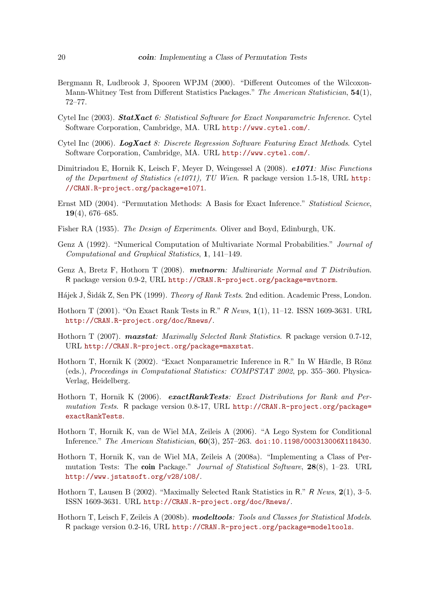- <span id="page-19-7"></span>Bergmann R, Ludbrook J, Spooren WPJM (2000). "Different Outcomes of the Wilcoxon-Mann-Whitney Test from Different Statistics Packages." *The American Statistician*, 54(1), 72–77.
- <span id="page-19-3"></span>Cytel Inc (2003). StatXact *6: Statistical Software for Exact Nonparametric Inference*. Cytel Software Corporation, Cambridge, MA. URL <http://www.cytel.com/>.
- <span id="page-19-4"></span>Cytel Inc (2006). LogXact *8: Discrete Regression Software Featuring Exact Methods*. Cytel Software Corporation, Cambridge, MA. URL <http://www.cytel.com/>.
- <span id="page-19-10"></span>Dimitriadou E, Hornik K, Leisch F, Meyer D, Weingessel A (2008). e1071*: Misc Functions of the Department of Statistics (e1071), TU Wien*. R package version 1.5-18, URL [http:](http://CRAN.R-project.org/package=e1071) [//CRAN.R-project.org/package=e1071](http://CRAN.R-project.org/package=e1071).
- <span id="page-19-2"></span>Ernst MD (2004). "Permutation Methods: A Basis for Exact Inference." *Statistical Science*, 19(4), 676–685.
- <span id="page-19-1"></span>Fisher RA (1935). *The Design of Experiments*. Oliver and Boyd, Edinburgh, UK.
- <span id="page-19-8"></span>Genz A (1992). "Numerical Computation of Multivariate Normal Probabilities." *Journal of Computational and Graphical Statistics*, 1, 141–149.
- <span id="page-19-9"></span>Genz A, Bretz F, Hothorn T (2008). mvtnorm*: Multivariate Normal and T Distribution*. R package version 0.9-2, URL <http://CRAN.R-project.org/package=mvtnorm>.
- <span id="page-19-5"></span>Hájek J, Šidák Z, Sen PK (1999). *Theory of Rank Tests*. 2nd edition. Academic Press, London.
- <span id="page-19-11"></span>Hothorn T (2001). "On Exact Rank Tests in R." R *News*, 1(1), 11–12. ISSN 1609-3631. URL <http://CRAN.R-project.org/doc/Rnews/>.
- <span id="page-19-15"></span>Hothorn T (2007). maxstat*: Maximally Selected Rank Statistics*. R package version 0.7-12, URL <http://CRAN.R-project.org/package=maxstat>.
- <span id="page-19-12"></span>Hothorn T, Hornik K (2002). "Exact Nonparametric Inference in R." In W Härdle, B Rönz (eds.), *Proceedings in Computational Statistics: COMPSTAT 2002*, pp. 355–360. Physica-Verlag, Heidelberg.
- <span id="page-19-13"></span>Hothorn T, Hornik K (2006). exactRankTests: Exact Distributions for Rank and Per*mutation Tests*. R package version 0.8-17, URL [http://CRAN.R-project.org/package=](http://CRAN.R-project.org/package=exactRankTests) [exactRankTests](http://CRAN.R-project.org/package=exactRankTests).
- <span id="page-19-6"></span>Hothorn T, Hornik K, van de Wiel MA, Zeileis A (2006). "A Lego System for Conditional Inference." *The American Statistician*, 60(3), 257–263. [doi:10.1198/000313006X118430](http://dx.doi.org/10.1198/000313006X118430).
- <span id="page-19-0"></span>Hothorn T, Hornik K, van de Wiel MA, Zeileis A (2008a). "Implementing a Class of Permutation Tests: The coin Package." *Journal of Statistical Software*, 28(8), 1–23. URL <http://www.jstatsoft.org/v28/i08/>.
- <span id="page-19-14"></span>Hothorn T, Lausen B (2002). "Maximally Selected Rank Statistics in R." R *News*, 2(1), 3–5. ISSN 1609-3631. URL <http://CRAN.R-project.org/doc/Rnews/>.
- <span id="page-19-16"></span>Hothorn T, Leisch F, Zeileis A (2008b). modeltools*: Tools and Classes for Statistical Models*. R package version 0.2-16, URL <http://CRAN.R-project.org/package=modeltools>.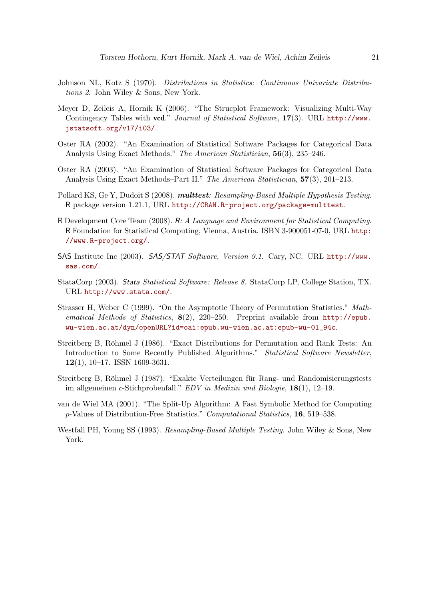- <span id="page-20-9"></span>Johnson NL, Kotz S (1970). *Distributions in Statistics: Continuous Univariate Distributions 2*. John Wiley & Sons, New York.
- <span id="page-20-12"></span>Meyer D, Zeileis A, Hornik K (2006). "The Strucplot Framework: Visualizing Multi-Way Contingency Tables with vcd." *Journal of Statistical Software*, 17(3). URL [http://www.](http://www.jstatsoft.org/v17/i03/) [jstatsoft.org/v17/i03/](http://www.jstatsoft.org/v17/i03/).
- <span id="page-20-2"></span>Oster RA (2002). "An Examination of Statistical Software Packages for Categorical Data Analysis Using Exact Methods." *The American Statistician*, 56(3), 235–246.
- <span id="page-20-3"></span>Oster RA (2003). "An Examination of Statistical Software Packages for Categorical Data Analysis Using Exact Methods–Part II." *The American Statistician*, 57(3), 201–213.
- <span id="page-20-11"></span>Pollard KS, Ge Y, Dudoit S (2008). multtest*: Resampling-Based Multiple Hypothesis Testing*. R package version 1.21.1, URL <http://CRAN.R-project.org/package=multtest>.
- <span id="page-20-0"></span>R Development Core Team (2008). R*: A Language and Environment for Statistical Computing*. R Foundation for Statistical Computing, Vienna, Austria. ISBN 3-900051-07-0, URL [http:](http://www.R-project.org/) [//www.R-project.org/](http://www.R-project.org/).
- <span id="page-20-4"></span>SAS Institute Inc (2003). SAS/STAT *Software, Version 9.1*. Cary, NC. URL [http://www.](http://www.sas.com/) [sas.com/](http://www.sas.com/).
- <span id="page-20-1"></span>StataCorp (2003). Stata *Statistical Software: Release 8*. StataCorp LP, College Station, TX. URL <http://www.stata.com/>.
- <span id="page-20-5"></span>Strasser H, Weber C (1999). "On the Asymptotic Theory of Permutation Statistics." *Mathematical Methods of Statistics*, 8(2), 220–250. Preprint available from [http://epub.](http://epub.wu-wien.ac.at/dyn/openURL?id=oai:epub.wu-wien.ac.at:epub-wu-01_94c) [wu-wien.ac.at/dyn/openURL?id=oai:epub.wu-wien.ac.at:epub-wu-01\\_94c](http://epub.wu-wien.ac.at/dyn/openURL?id=oai:epub.wu-wien.ac.at:epub-wu-01_94c).
- <span id="page-20-6"></span>Streitberg B, Röhmel J (1986). "Exact Distributions for Permutation and Rank Tests: An Introduction to Some Recently Published Algorithms." *Statistical Software Newsletter*, 12(1), 10–17. ISSN 1609-3631.
- <span id="page-20-7"></span>Streitberg B, Röhmel J (1987). "Exakte Verteilungen für Rang- und Randomisierungstests im allgemeinen c-Stichprobenfall." *EDV in Medizin und Biologie*, 18(1), 12–19.
- <span id="page-20-8"></span>van de Wiel MA (2001). "The Split-Up Algorithm: A Fast Symbolic Method for Computing p-Values of Distribution-Free Statistics." *Computational Statistics*, 16, 519–538.
- <span id="page-20-10"></span>Westfall PH, Young SS (1993). *Resampling-Based Multiple Testing*. John Wiley & Sons, New York.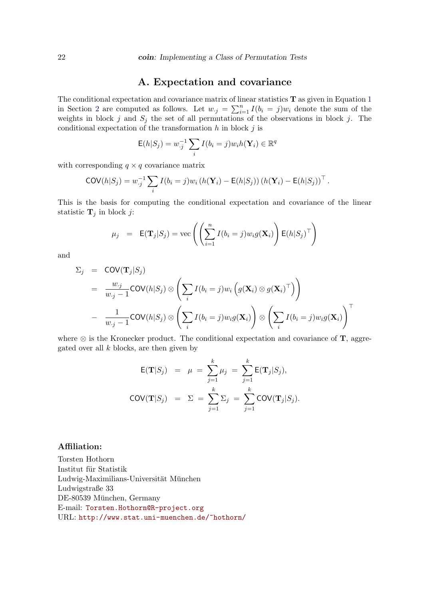## A. Expectation and covariance

<span id="page-21-0"></span>The conditional expectation and covariance matrix of linear statistics  $T$  as given in Equation [1](#page-3-1) in Section [2](#page-2-0) are computed as follows. Let  $w_{\cdot j} = \sum_{i=1}^{n} I(b_i = j)w_i$  denote the sum of the weights in block j and  $S_j$  the set of all permutations of the observations in block j. The conditional expectation of the transformation  $h$  in block  $j$  is

$$
E(h|S_j) = w_{\cdot j}^{-1} \sum_i I(b_i = j) w_i h(\mathbf{Y}_i) \in \mathbb{R}^q
$$

with corresponding  $q \times q$  covariance matrix

$$
COV(h|S_j) = w_{\cdot j}^{-1} \sum_i I(b_i = j) w_i (h(\mathbf{Y}_i) - \mathsf{E}(h|S_j)) (h(\mathbf{Y}_i) - \mathsf{E}(h|S_j))^{\top}.
$$

This is the basis for computing the conditional expectation and covariance of the linear statistic  $\mathbf{T}_j$  in block j:

$$
\mu_j
$$
 =  $\mathbf{E}(\mathbf{T}_j|S_j) = \text{vec}\left(\left(\sum_{i=1}^n I(b_i = j)w_i g(\mathbf{X}_i)\right) \mathbf{E}(h|S_j)^\top\right)$ 

and

$$
\Sigma_j = \text{COV}(\mathbf{T}_j|S_j)
$$
  
= 
$$
\frac{w_{\cdot j}}{w_{\cdot j} - 1} \text{COV}(h|S_j) \otimes \left(\sum_i I(b_i = j) w_i \left(g(\mathbf{X}_i) \otimes g(\mathbf{X}_i)^\top\right)\right)
$$
  
- 
$$
\frac{1}{w_{\cdot j} - 1} \text{COV}(h|S_j) \otimes \left(\sum_i I(b_i = j) w_i g(\mathbf{X}_i)\right) \otimes \left(\sum_i I(b_i = j) w_i g(\mathbf{X}_i)\right)^\top
$$

where  $\otimes$  is the Kronecker product. The conditional expectation and covariance of **T**, aggregated over all  $k$  blocks, are then given by

$$
\mathsf{E}(\mathbf{T}|S_j) = \mu = \sum_{j=1}^k \mu_j = \sum_{j=1}^k \mathsf{E}(\mathbf{T}_j|S_j),
$$
  

$$
\mathsf{COV}(\mathbf{T}|S_j) = \Sigma = \sum_{j=1}^k \Sigma_j = \sum_{j=1}^k \mathsf{COV}(\mathbf{T}_j|S_j).
$$

#### Affiliation:

Torsten Hothorn Institut fur Statistik ¨  ${\rm Ludwig\mbox{-}Maximilians\mbox{-}Universität$  München Ludwigstraße 33 DE-80539 München, Germany E-mail: [Torsten.Hothorn@R-project.org](mailto:Torsten.Hothorn@R-project.org) URL: <http://www.stat.uni-muenchen.de/~hothorn/>